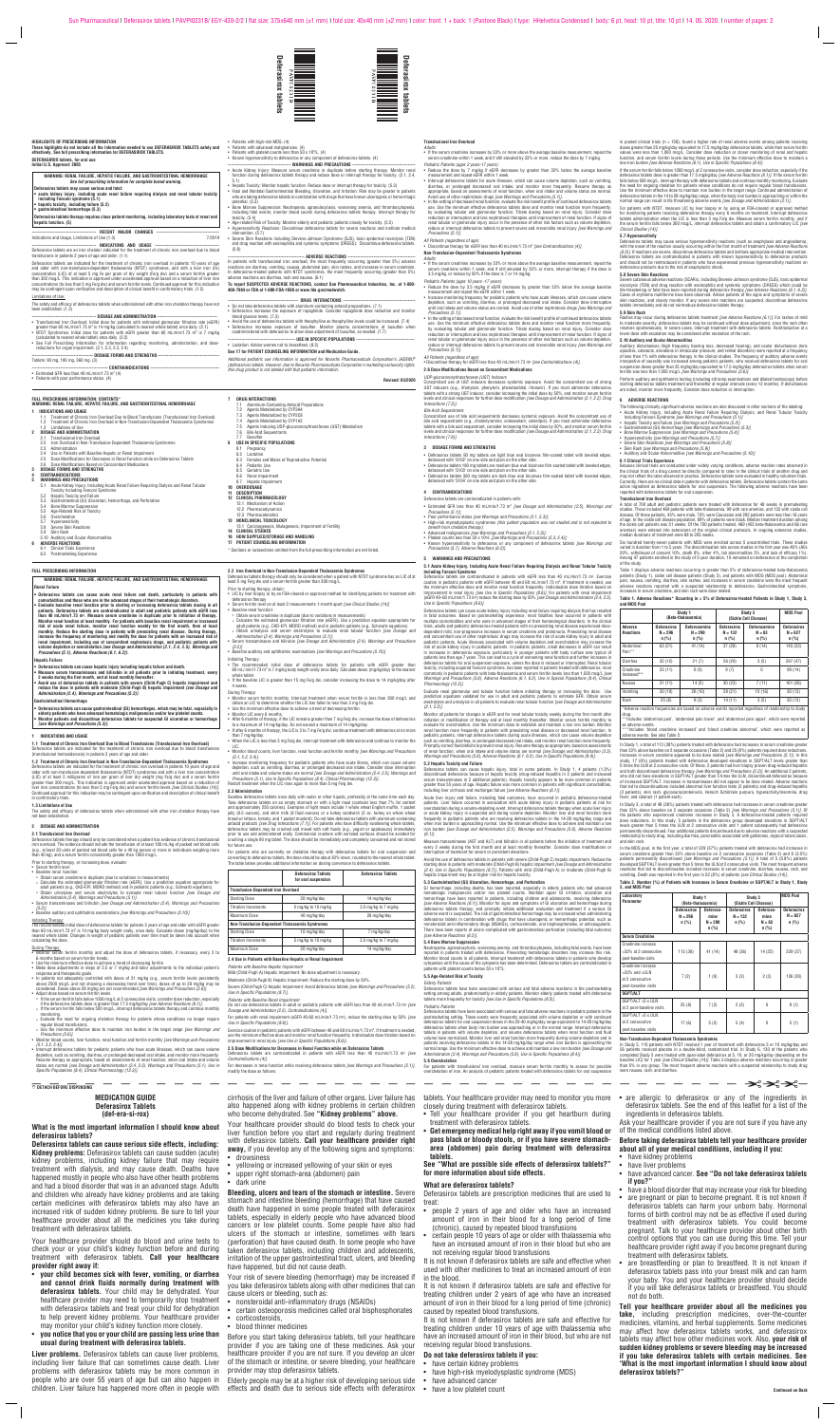#### **MEDICATION GUIDE Deferasirox Tablets (def-era-si-rox)**

**What is the most important information I should know about deferasirox tablets?**

**Deferasirox tablets can cause serious side effects, including: Kidney problems:** Deferasirox tablets can cause sudden (acute) kidney problems, including kidney failure that may require treatment with dialysis, and may cause death. Deaths have happened mostly in people who also have other health problems and had a blood disorder that was in an advanced stage. Adults and children who already have kidney problems and are taking certain medicines with deferasirox tablets may also have an increased risk of sudden kidney problems. Be sure to tell your healthcare provider about all the medicines you take during treatment with deferasirox tablets.

Your healthcare provider should do blood and urine tests to check your or your child's kidney function before and during treatment with deferasirox tablets. **Call your healthcare provider right away if:**

- **your child becomes sick with fever, vomiting, or diarrhea and cannot drink fluids normally during treatment with deferasirox tablets.** Your child may be dehydrated. Your healthcare provider may need to temporarily stop treatment with deferasirox tablets and treat your child for dehydration to help prevent kidney problems. Your healthcare provider may monitor your child's kidney function more closely.
- **you notice that you or your child are passing less urine than usual during treatment with deferasirox tablets.**

**Liver problems.** Deferasirox tablets can cause liver problems, including liver failure that can sometimes cause death. Liver problems with deferasirox tablets may be more common in people who are over 55 years of age but can also happen in children. Liver failure has happened more often in people with

cirrhosis of the liver and failure of other organs. Liver failure has also happened along with kidney problems in certain children who become dehydrated. See **"Kidney problems" above.**

Your healthcare provider should do blood tests to check your liver function before you start and regularly during treatment with deferasirox tablets. **Call your healthcare provider right away,** if you develop any of the following signs and symptoms: • drowsiness

- 
- yellowing or increased yellowing of your skin or eyes
- upper right stomach-area (abdomen) pain

• dark urine

**Bleeding, ulcers and tears of the stomach or intestine.** Severe stomach and intestine bleeding (hemorrhage) that have caused death have happened in some people treated with deferasirox tablets, especially in elderly people who have advanced blood cancers or low platelet counts. Some people have also had ulcers of the stomach or intestine, sometimes with tears (perforation) that have caused death. In some people who have taken deferasirox tablets, including children and adolescents, irritation of the upper gastrointestinal tract, ulcers, and bleeding have happened, but did not cause death.

Your risk of severe bleeding (hemorrhage) may be increased if you take deferasirox tablets along with other medicines that can cause ulcers or bleeding, such as:

- nonsteroidal anti-inflammatory drugs (NSAIDs)
- certain osteoporosis medicines called oral bisphosphonates
- corticosteroids,
- blood thinner medicines

Before you start taking deferasirox tablets, tell your healthcare provider if you are taking one of these medicines. Ask your healthcare provider if you are not sure. If you develop an ulcer of the stomach or intestine, or severe bleeding, your healthcare provider may stop deferasirox tablets.

Elderly people may be at a higher risk of developing serious side

effects and death due to serious side effects with deferasirox

tablets. Your healthcare provider may need to monitor you more closely during treatment with deferasirox tablets.

- Tell your healthcare provider if you get heartburn during treatment with deferasirox tablets.
- **Get emergency medical help right away if you vomit blood or pass black or bloody stools, or if you have severe stomacharea (abdomen) pain during treatment with deferasirox tablets.**

**See "What are possible side effects of deferasirox tablets?" for more information about side effects.**

#### **What are deferasirox tablets?**

Deferasirox tablets are prescription medicines that are used to treat:

- people 2 years of age and older who have an increased amount of iron in their blood for a long period of time (chronic), caused by repeated blood transfusions
- certain people 10 years of age or older with thalassemia who have an increased amount of iron in their blood but who are not receiving regular blood transfusions

It is not known if deferasirox tablets are safe and effective when used with other medicines to treat an increased amount of iron in the blood.

It is not known if deferasirox tablets are safe and effective for treating children under 2 years of age who have an increased amount of iron in their blood for a long period of time (chronic) caused by repeated blood transfusions.

It is not known if deferasirox tablets are safe and effective for treating children under 10 years of age with thalassemia who have an increased amount of iron in their blood, but who are not receiving regular blood transfusions.

#### **Do not take deferasirox tablets if you:**

- have certain kidney problems
- have high-risk myelodysplastic syndrome (MDS)
- have advanced cancer
- have a low platelet count

are allergic to deferasirox or any of the ingredients in deferasirox tablets. See the end of this leaflet for a list of the ingredients in deferasirox tablets.

★☆★☆

Ask your healthcare provider if you are not sure if you have any of the medical conditions listed above.

**Before taking deferasirox tablets tell your healthcare provider about all of your medical conditions, including if you:**

- have kidney problems
- have liver problems
- have advanced cancer. **See "Do not take deferasirox tablets if you?"**
- have a blood disorder that may increase your risk for bleeding
- are pregnant or plan to become pregnant. It is not known if deferasirox tablets can harm your unborn baby. Hormonal forms of birth control may not be as effective if used during treatment with deferasirox tablets. You could become pregnant. Talk to your healthcare provider about other birth control options that you can use during this time. Tell your healthcare provider right away if you become pregnant during treatment with deferasirox tablets.
- are breastfeeding or plan to breastfeed. It is not known if deferasirox tablets pass into your breast milk and can harm your baby. You and your healthcare provider should decide if you will take deferasirox tablets or breastfeed. You should not do both.

**Tell your healthcare provider about all the medicines you take,** including prescription medicines, over-the-counter medicines, vitamins, and herbal supplements. Some medicines may affect how deferasirox tablets works, and deferasirox tablets may affect how other medicines work. Also, **your risk of sudden kidney problems or severe bleeding may be increased if you take deferasirox tablets with certain medicines. See 'What is the most important information I should know about deferasirox tablets?"**